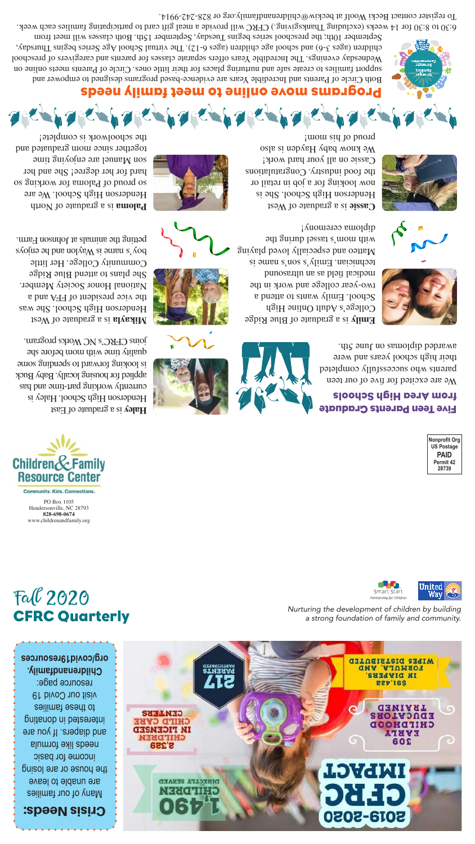## Programs move online to meet family needs

Both Circle of Parents and Incredible Years are evidence-based programs designed to empower and support families to create safe and nurturing places for their little ones. Circle of Parents meets online on Wednesday evenings. The Incredible Years offers separate classes for parents and caregivers of preschool children (ages 3-6) and school age children (ages 6-12). The virtual School Age Series begins Thursday, September 10th; the preschool series begins Tuesday, September 15th. Both classes will meet from

Children&Family **Resource Center Community, Kids, Connections.** PO Box 1105 Hendersonville, NC 28793

We are excited for five of our teen parents who successfully completed their high school years and were awarded diplomas on June 5th.





6:30 to 8:30 for 14 weeks (excluding Thanksgiving.) CFRC will provide a meal gift card to participating families each week. To register contact Becki Woolf at beckiw@childrenandfamily.org or 828-242-9914.



**828-698-0674** www.childrenandfamily.org













*Nurturing the development of children by building a strong foundation of family and community.*

Many of our families are unable to leave the house or are losing income for basic needs like formula and diapers. If you are

Fall 2020

CFRC Quarterly

## Five Teen Parents Graduate from Area High Schools

to these families visit our Covid 19 resource page: **Childrenandfamily.**



i mom sid to buorq





 is a graduate of Blue Ridge **Emily** College's Adult Online High School. Emily wants to attend a two-year college and work in the medical field as an ultrasound technician. Emily's son's name is Matteo and especially loved playing with mom's tassel during the



diploma ceremony!

 is a graduate of East **Haley** Henderson High School. Haley is currently working part-time and has applied for housing locally. Baby Buck is looking forward to spending some quality time with mom before she joins CFRC's NC Works program.

 is a graduate of West **Mikayla** Henderson High School. She was the vice president of FFA and a National Honor Society Member. She plans to attend Blue Ridge Community College. Her little  $\delta$ o $\lambda$ s name is Waylon and he enjo $\delta$ s and he engo petting the animals at Johnson Farm.

 is a graduate of North **Paloma** Henderson High School. We are so proud of Paloma for working so hard for her degree! She and her son Manuel are enjoying time together since mom graduated and the schoolwork is complete!



# Crisis Needs:

interested in donating

**DIBECLTA SEBAED** NEECTIED

**STMIRIAR**<br>STMIRIA

**CENTERS CHILD CARE IM FICEMSED CHILDREN 8,329** 

> **INPACT 2019-2020**

TRAINED **EDUCATORS** CHITDHOOD EVELA 308

**GITUEIAT21G SIGIW** FORMULA, AND IN DIVEEES **227'16S**